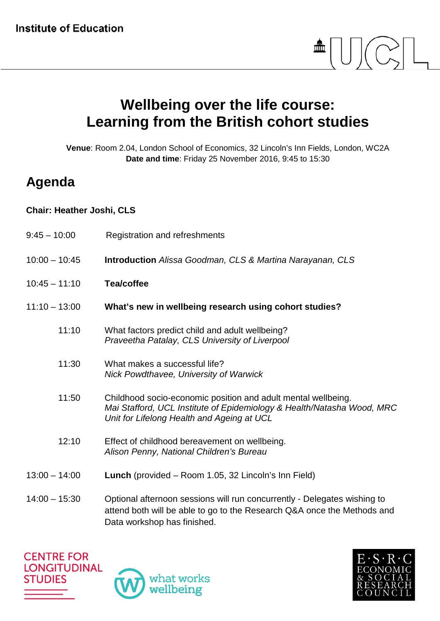

## **Wellbeing over the life course: Learning from the British cohort studies**

**Venue**: Room 2.04, London School of Economics, 32 Lincoln's Inn Fields, London, WC2A **Date and time**: Friday 25 November 2016, 9:45 to 15:30

## **Agenda**

## **Chair: Heather Joshi, CLS**

| $9:45 - 10:00$  | Registration and refreshments                                                                                                                                                         |
|-----------------|---------------------------------------------------------------------------------------------------------------------------------------------------------------------------------------|
| $10:00 - 10:45$ | <b>Introduction</b> Alissa Goodman, CLS & Martina Narayanan, CLS                                                                                                                      |
| $10:45 - 11:10$ | <b>Tea/coffee</b>                                                                                                                                                                     |
| $11:10 - 13:00$ | What's new in wellbeing research using cohort studies?                                                                                                                                |
| 11:10           | What factors predict child and adult wellbeing?<br>Praveetha Patalay, CLS University of Liverpool                                                                                     |
| 11:30           | What makes a successful life?<br>Nick Powdthavee, University of Warwick                                                                                                               |
| 11:50           | Childhood socio-economic position and adult mental wellbeing.<br>Mai Stafford, UCL Institute of Epidemiology & Health/Natasha Wood, MRC<br>Unit for Lifelong Health and Ageing at UCL |
| 12:10           | Effect of childhood bereavement on wellbeing.<br>Alison Penny, National Children's Bureau                                                                                             |
| $13:00 - 14:00$ | Lunch (provided - Room 1.05, 32 Lincoln's Inn Field)                                                                                                                                  |
| $14:00 - 15:30$ | Optional afternoon sessions will run concurrently - Delegates wishing to<br>attend both will be able to go to the Research Q&A once the Methods and<br>Data workshop has finished.    |